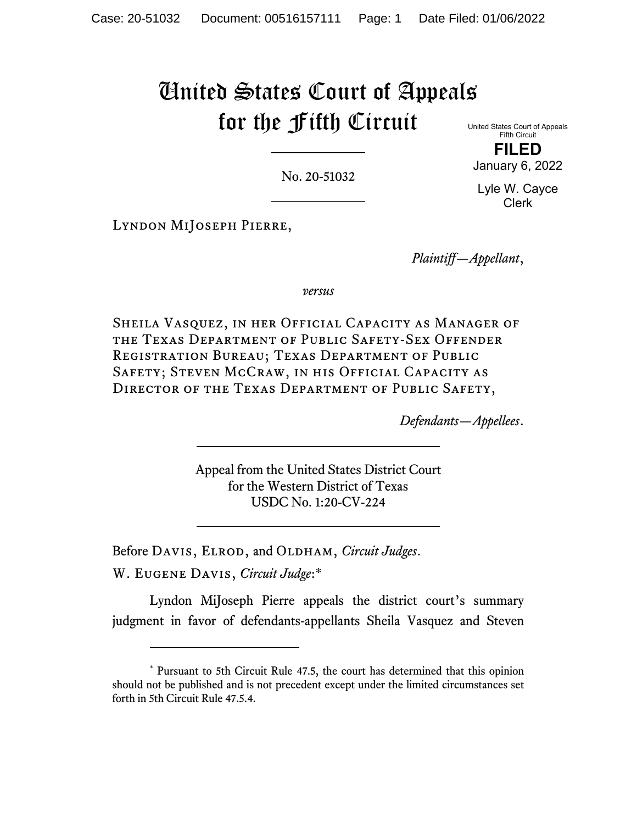# United States Court of Appeals for the Fifth Circuit

No. 20-51032

United States Court of Appeals Fifth Circuit **FILED** 

January 6, 2022

Lyle W. Cayce Clerk

Lyndon MiJoseph Pierre,

*Plaintiff—Appellant*,

*versus*

Sheila Vasquez, in her Official Capacity as Manager of the Texas Department of Public Safety-Sex Offender Registration Bureau; Texas Department of Public SAFETY; STEVEN MCCRAW, IN HIS OFFICIAL CAPACITY AS Director of the Texas Department of Public Safety,

*Defendants—Appellees*.

Appeal from the United States District Court for the Western District of Texas USDC No. 1:20-CV-224

Before DAVIS, ELROD, and OLDHAM, *Circuit Judges*.

W. Eugene Davis, *Circuit Judge*:\*

Lyndon MiJoseph Pierre appeals the district court's summary judgment in favor of defendants-appellants Sheila Vasquez and Steven

<sup>\*</sup> Pursuant to 5th Circuit Rule 47.5, the court has determined that this opinion should not be published and is not precedent except under the limited circumstances set forth in 5th Circuit Rule 47.5.4.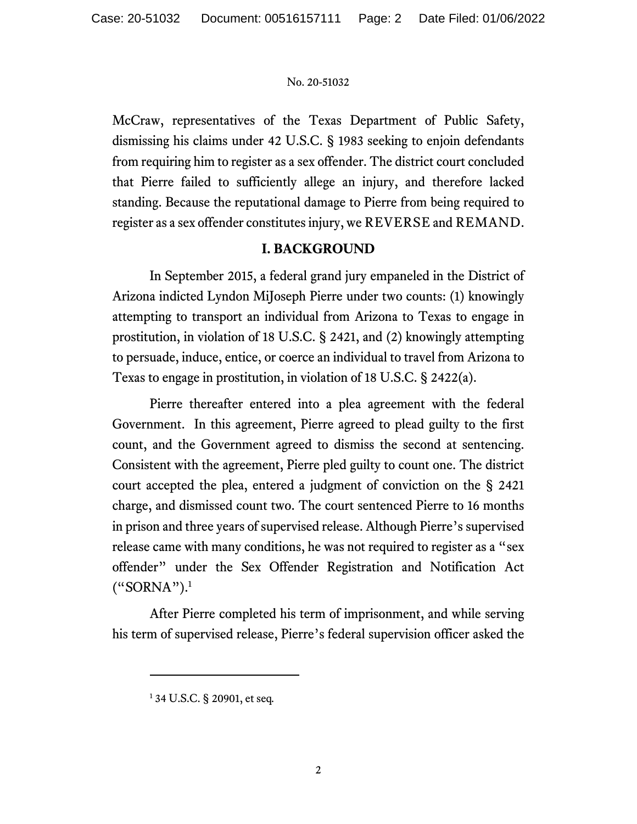McCraw, representatives of the Texas Department of Public Safety, dismissing his claims under 42 U.S.C. § 1983 seeking to enjoin defendants from requiring him to register as a sex offender. The district court concluded that Pierre failed to sufficiently allege an injury, and therefore lacked standing. Because the reputational damage to Pierre from being required to register as a sex offender constitutes injury, we REVERSE and REMAND.

# **I. BACKGROUND**

In September 2015, a federal grand jury empaneled in the District of Arizona indicted Lyndon MiJoseph Pierre under two counts: (1) knowingly attempting to transport an individual from Arizona to Texas to engage in prostitution, in violation of 18 U.S.C. § 2421, and (2) knowingly attempting to persuade, induce, entice, or coerce an individual to travel from Arizona to Texas to engage in prostitution, in violation of 18 U.S.C. § 2422(a).

Pierre thereafter entered into a plea agreement with the federal Government. In this agreement, Pierre agreed to plead guilty to the first count, and the Government agreed to dismiss the second at sentencing. Consistent with the agreement, Pierre pled guilty to count one. The district court accepted the plea, entered a judgment of conviction on the § 2421 charge, and dismissed count two. The court sentenced Pierre to 16 months in prison and three years of supervised release. Although Pierre's supervised release came with many conditions, he was not required to register as a "sex offender" under the Sex Offender Registration and Notification Act ("SORNA").1

After Pierre completed his term of imprisonment, and while serving his term of supervised release, Pierre's federal supervision officer asked the

<sup>1</sup> 34 U.S.C. § 20901, et seq*.*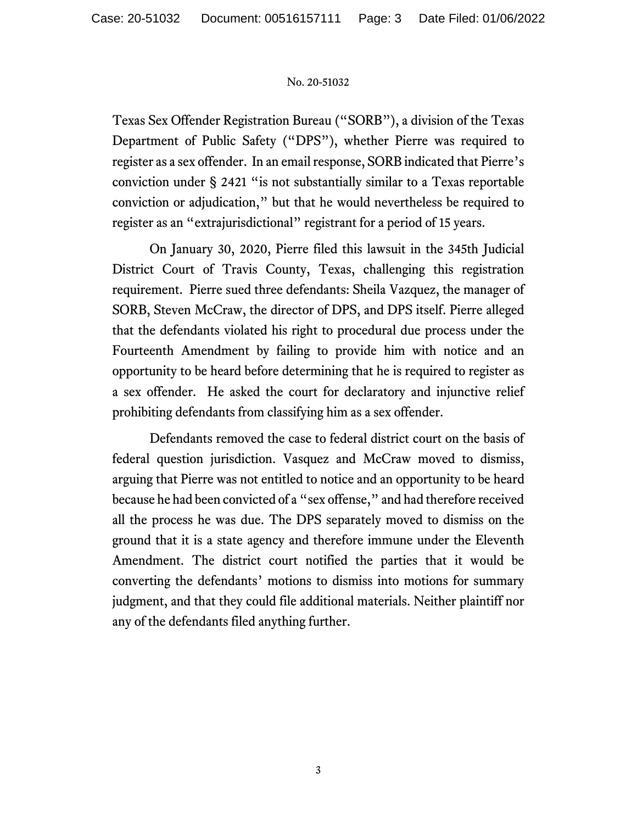Texas Sex Offender Registration Bureau ("SORB"), a division of the Texas Department of Public Safety ("DPS"), whether Pierre was required to register as a sex offender. In an email response, SORB indicated that Pierre's conviction under § 2421 "is not substantially similar to a Texas reportable conviction or adjudication," but that he would nevertheless be required to register as an "extrajurisdictional" registrant for a period of 15 years.

On January 30, 2020, Pierre filed this lawsuit in the 345th Judicial District Court of Travis County, Texas, challenging this registration requirement. Pierre sued three defendants: Sheila Vazquez, the manager of SORB, Steven McCraw, the director of DPS, and DPS itself. Pierre alleged that the defendants violated his right to procedural due process under the Fourteenth Amendment by failing to provide him with notice and an opportunity to be heard before determining that he is required to register as a sex offender. He asked the court for declaratory and injunctive relief prohibiting defendants from classifying him as a sex offender.

Defendants removed the case to federal district court on the basis of federal question jurisdiction. Vasquez and McCraw moved to dismiss, arguing that Pierre was not entitled to notice and an opportunity to be heard because he had been convicted of a "sex offense," and had therefore received all the process he was due. The DPS separately moved to dismiss on the ground that it is a state agency and therefore immune under the Eleventh Amendment. The district court notified the parties that it would be converting the defendants' motions to dismiss into motions for summary judgment, and that they could file additional materials. Neither plaintiff nor any of the defendants filed anything further.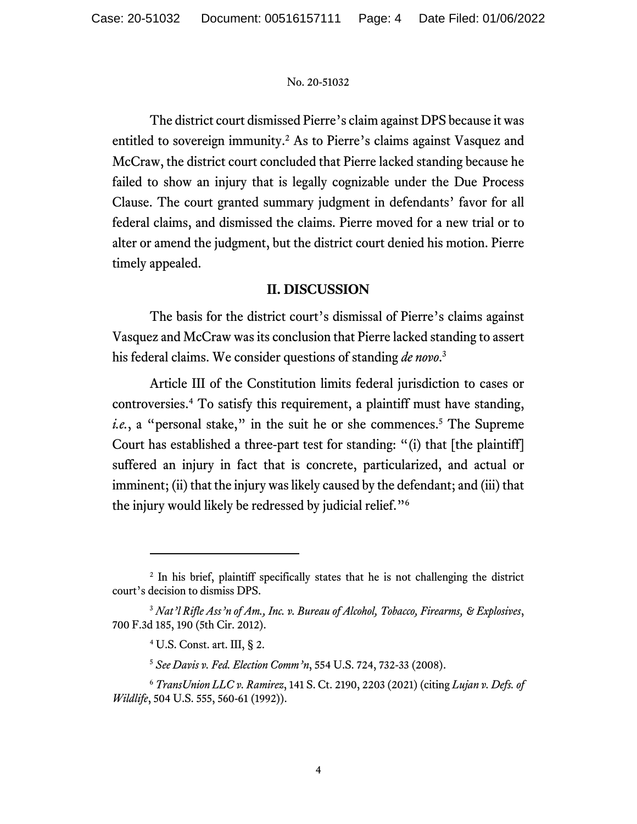The district court dismissed Pierre's claim against DPS because it was entitled to sovereign immunity.<sup>2</sup> As to Pierre's claims against Vasquez and McCraw, the district court concluded that Pierre lacked standing because he failed to show an injury that is legally cognizable under the Due Process Clause. The court granted summary judgment in defendants' favor for all federal claims, and dismissed the claims. Pierre moved for a new trial or to alter or amend the judgment, but the district court denied his motion. Pierre timely appealed.

# **II. DISCUSSION**

The basis for the district court's dismissal of Pierre's claims against Vasquez and McCraw was its conclusion that Pierre lacked standing to assert his federal claims. We consider questions of standing *de novo*. 3

Article III of the Constitution limits federal jurisdiction to cases or controversies.4 To satisfy this requirement, a plaintiff must have standing, i.e., a "personal stake," in the suit he or she commences.<sup>5</sup> The Supreme Court has established a three-part test for standing: "(i) that [the plaintiff] suffered an injury in fact that is concrete, particularized, and actual or imminent; (ii) that the injury was likely caused by the defendant; and (iii) that the injury would likely be redressed by judicial relief."6

<sup>&</sup>lt;sup>2</sup> In his brief, plaintiff specifically states that he is not challenging the district court's decision to dismiss DPS.

<sup>3</sup> *Nat'l Rifle Ass'n of Am., Inc. v. Bureau of Alcohol, Tobacco, Firearms, & Explosives*, 700 F.3d 185, 190 (5th Cir. 2012).

<sup>4</sup> U.S. Const. art. III, § 2.

<sup>5</sup> *See Davis v. Fed. Election Comm'n*, 554 U.S. 724, 732-33 (2008).

<sup>6</sup> *TransUnion LLC v. Ramirez*, 141 S. Ct. 2190, 2203 (2021) (citing *Lujan v. Defs. of Wildlife*, 504 U.S. 555, 560-61 (1992)).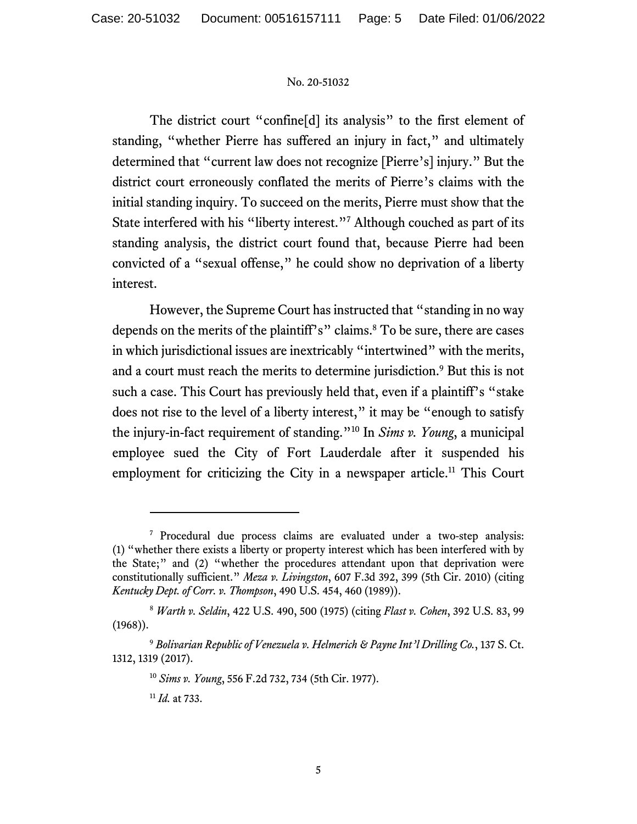The district court "confine[d] its analysis" to the first element of standing, "whether Pierre has suffered an injury in fact," and ultimately determined that "current law does not recognize [Pierre's] injury." But the district court erroneously conflated the merits of Pierre's claims with the initial standing inquiry. To succeed on the merits, Pierre must show that the State interfered with his "liberty interest."<sup>7</sup> Although couched as part of its standing analysis, the district court found that, because Pierre had been convicted of a "sexual offense," he could show no deprivation of a liberty interest.

However, the Supreme Court has instructed that "standing in no way depends on the merits of the plaintiff's" claims.<sup>8</sup> To be sure, there are cases in which jurisdictional issues are inextricably "intertwined" with the merits, and a court must reach the merits to determine jurisdiction.<sup>9</sup> But this is not such a case. This Court has previously held that, even if a plaintiff's "stake" does not rise to the level of a liberty interest," it may be "enough to satisfy the injury-in-fact requirement of standing."10 In *Sims v. Young*, a municipal employee sued the City of Fort Lauderdale after it suspended his employment for criticizing the City in a newspaper article.<sup>11</sup> This Court

<sup>7</sup> Procedural due process claims are evaluated under a two-step analysis: (1) "whether there exists a liberty or property interest which has been interfered with by the State;" and (2) "whether the procedures attendant upon that deprivation were constitutionally sufficient." *Meza v. Livingston*, 607 F.3d 392, 399 (5th Cir. 2010) (citing *Kentucky Dept. of Corr. v. Thompson*, 490 U.S. 454, 460 (1989)).

<sup>8</sup> *Warth v. Seldin*, 422 U.S. 490, 500 (1975) (citing *Flast v. Cohen*, 392 U.S. 83, 99 (1968)).

<sup>9</sup> *Bolivarian Republic of Venezuela v. Helmerich & Payne Int'l Drilling Co.*, 137 S. Ct. 1312, 1319 (2017).

<sup>10</sup> *Sims v. Young*, 556 F.2d 732, 734 (5th Cir. 1977).

<sup>11</sup> *Id.* at 733.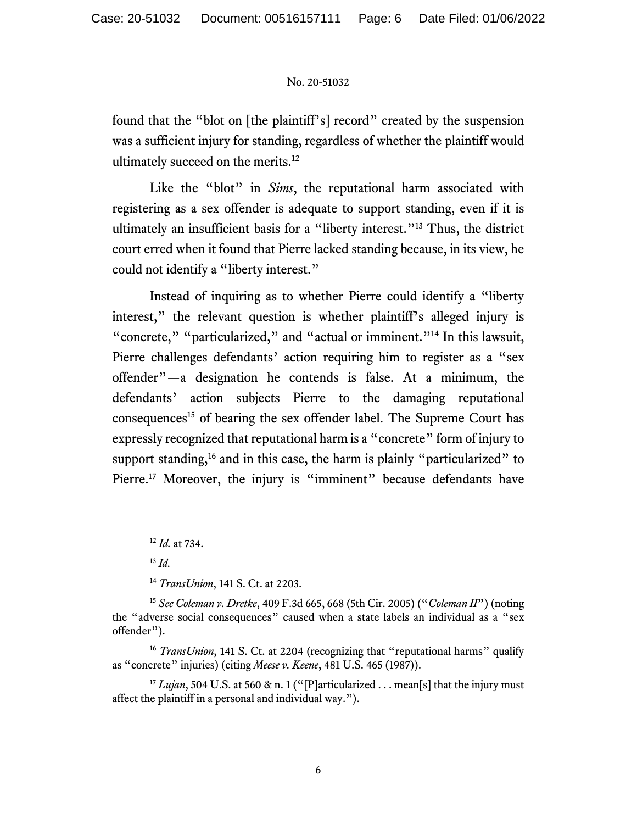found that the "blot on [the plaintiff's] record" created by the suspension was a sufficient injury for standing, regardless of whether the plaintiff would ultimately succeed on the merits.<sup>12</sup>

Like the "blot" in *Sims*, the reputational harm associated with registering as a sex offender is adequate to support standing, even if it is ultimately an insufficient basis for a "liberty interest."13 Thus, the district court erred when it found that Pierre lacked standing because, in its view, he could not identify a "liberty interest."

Instead of inquiring as to whether Pierre could identify a "liberty interest," the relevant question is whether plaintiff's alleged injury is "concrete," "particularized," and "actual or imminent."<sup>14</sup> In this lawsuit, Pierre challenges defendants' action requiring him to register as a "sex offender"—a designation he contends is false. At a minimum, the defendants' action subjects Pierre to the damaging reputational consequences<sup>15</sup> of bearing the sex offender label. The Supreme Court has expressly recognized that reputational harm is a "concrete" form of injury to support standing,<sup>16</sup> and in this case, the harm is plainly "particularized" to Pierre.<sup>17</sup> Moreover, the injury is "imminent" because defendants have

<sup>13</sup> *Id.*

<sup>14</sup> *TransUnion*, 141 S. Ct. at 2203.

<sup>17</sup> *Lujan*, 504 U.S. at 560 & n. 1 ("[P]articularized . . . mean[s] that the injury must affect the plaintiff in a personal and individual way.").

<sup>12</sup> *Id.* at 734.

<sup>15</sup> *See Coleman v. Dretke*, 409 F.3d 665, 668 (5th Cir. 2005) ("*Coleman II*") (noting the "adverse social consequences" caused when a state labels an individual as a "sex offender").

<sup>&</sup>lt;sup>16</sup> *TransUnion*, 141 S. Ct. at 2204 (recognizing that "reputational harms" qualify as "concrete" injuries) (citing *Meese v. Keene*, 481 U.S. 465 (1987)).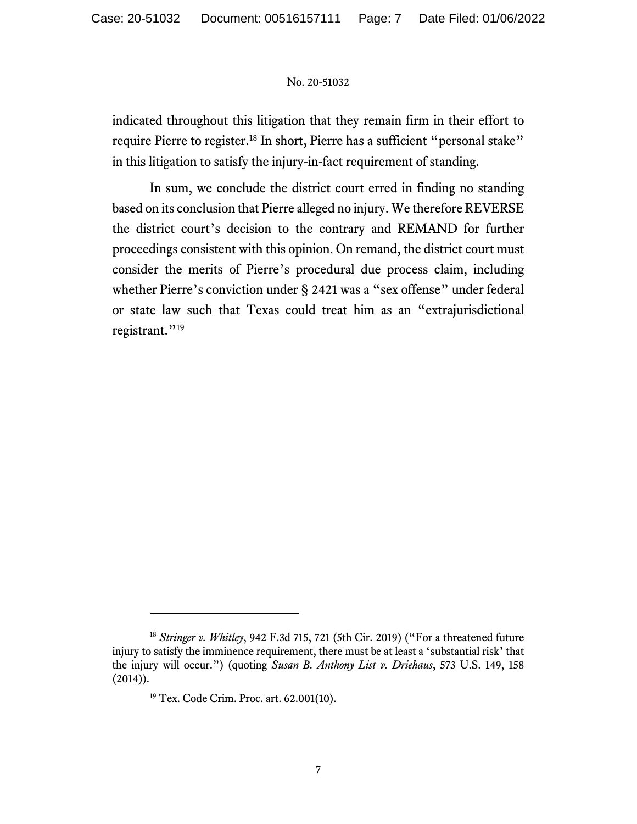indicated throughout this litigation that they remain firm in their effort to require Pierre to register.<sup>18</sup> In short, Pierre has a sufficient "personal stake" in this litigation to satisfy the injury-in-fact requirement of standing.

In sum, we conclude the district court erred in finding no standing based on its conclusion that Pierre alleged no injury. We therefore REVERSE the district court's decision to the contrary and REMAND for further proceedings consistent with this opinion. On remand, the district court must consider the merits of Pierre's procedural due process claim, including whether Pierre's conviction under § 2421 was a "sex offense" under federal or state law such that Texas could treat him as an "extrajurisdictional registrant."<sup>19</sup>

<sup>18</sup> *Stringer v. Whitley*, 942 F.3d 715, 721 (5th Cir. 2019) ("For a threatened future injury to satisfy the imminence requirement, there must be at least a 'substantial risk' that the injury will occur.") (quoting *Susan B. Anthony List v. Driehaus*, 573 U.S. 149, 158  $(2014)$ ).

<sup>19</sup> Tex. Code Crim. Proc. art. 62.001(10).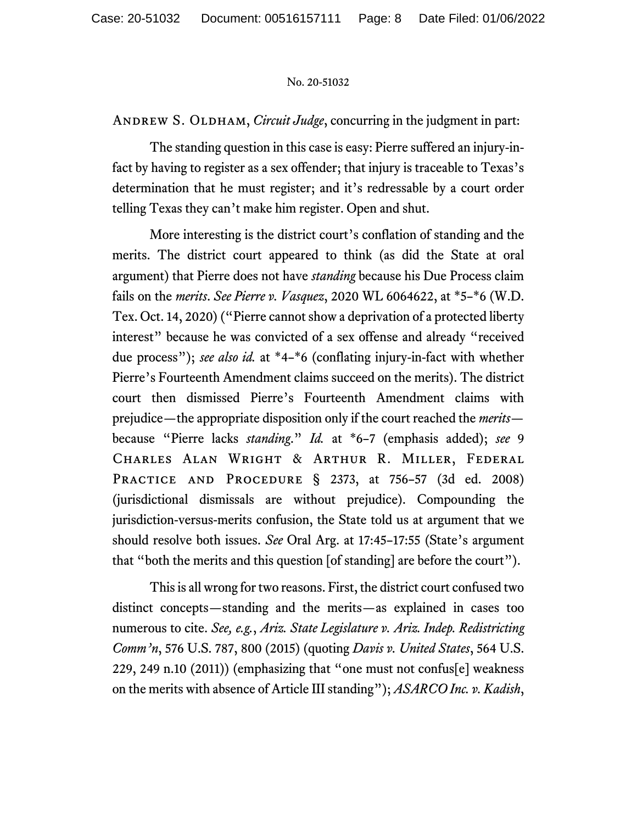ANDREW S. OLDHAM, *Circuit Judge*, concurring in the judgment in part:

The standing question in this case is easy: Pierre suffered an injury-infact by having to register as a sex offender; that injury is traceable to Texas's determination that he must register; and it's redressable by a court order telling Texas they can't make him register. Open and shut.

More interesting is the district court's conflation of standing and the merits. The district court appeared to think (as did the State at oral argument) that Pierre does not have *standing* because his Due Process claim fails on the *merits*. *See Pierre v. Vasquez*, 2020 WL 6064622, at \*5–\*6 (W.D. Tex. Oct. 14, 2020) ("Pierre cannot show a deprivation of a protected liberty interest" because he was convicted of a sex offense and already "received due process"); *see also id.* at \*4–\*6 (conflating injury-in-fact with whether Pierre's Fourteenth Amendment claims succeed on the merits). The district court then dismissed Pierre's Fourteenth Amendment claims with prejudice—the appropriate disposition only if the court reached the *merits* because "Pierre lacks *standing*." *Id.* at \*6–7 (emphasis added); *see* 9 Charles Alan Wright & Arthur R. Miller, Federal PRACTICE AND PROCEDURE § 2373, at 756-57 (3d ed. 2008) (jurisdictional dismissals are without prejudice). Compounding the jurisdiction-versus-merits confusion, the State told us at argument that we should resolve both issues. *See* Oral Arg. at 17:45–17:55 (State's argument that "both the merits and this question [of standing] are before the court").

This is all wrong for two reasons. First, the district court confused two distinct concepts—standing and the merits—as explained in cases too numerous to cite. *See, e.g.*, *Ariz. State Legislature v. Ariz. Indep. Redistricting Comm'n*, 576 U.S. 787, 800 (2015) (quoting *Davis v. United States*, 564 U.S. 229, 249 n.10 (2011)) (emphasizing that "one must not confus[e] weakness on the merits with absence of Article III standing"); *ASARCO Inc. v. Kadish*,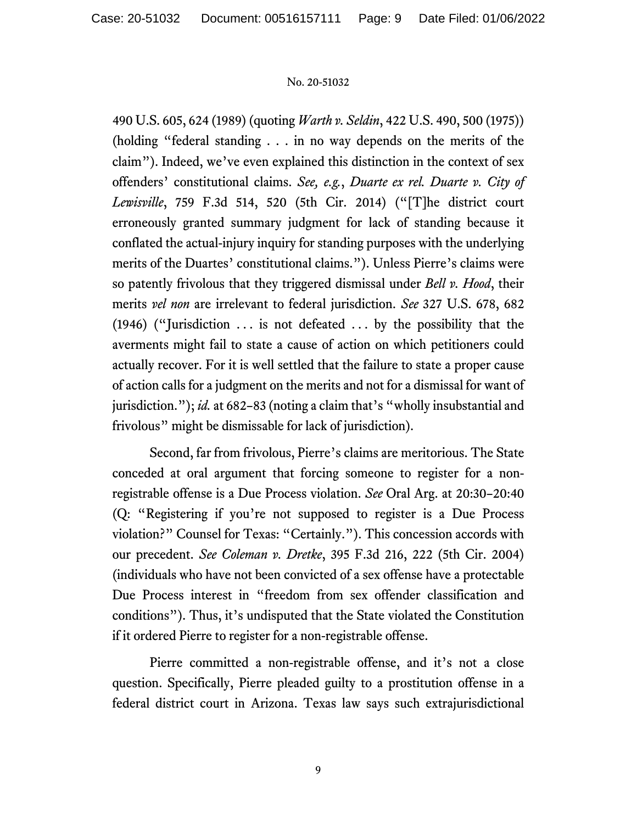490 U.S. 605, 624 (1989) (quoting *Warth v. Seldin*, 422 U.S. 490, 500 (1975)) (holding "federal standing . . . in no way depends on the merits of the claim"). Indeed, we've even explained this distinction in the context of sex offenders' constitutional claims. *See, e.g.*, *Duarte ex rel. Duarte v. City of Lewisville*, 759 F.3d 514, 520 (5th Cir. 2014) ("[T]he district court erroneously granted summary judgment for lack of standing because it conflated the actual-injury inquiry for standing purposes with the underlying merits of the Duartes' constitutional claims."). Unless Pierre's claims were so patently frivolous that they triggered dismissal under *Bell v. Hood*, their merits *vel non* are irrelevant to federal jurisdiction. *See* 327 U.S. 678, 682 (1946) ("Jurisdiction  $\dots$  is not defeated  $\dots$  by the possibility that the averments might fail to state a cause of action on which petitioners could actually recover. For it is well settled that the failure to state a proper cause of action calls for a judgment on the merits and not for a dismissal for want of jurisdiction."); *id.* at 682–83 (noting a claim that's "wholly insubstantial and frivolous" might be dismissable for lack of jurisdiction).

Second, far from frivolous, Pierre's claims are meritorious. The State conceded at oral argument that forcing someone to register for a nonregistrable offense is a Due Process violation. *See* Oral Arg. at 20:30–20:40 (Q: "Registering if you're not supposed to register is a Due Process violation?" Counsel for Texas: "Certainly."). This concession accords with our precedent. *See Coleman v. Dretke*, 395 F.3d 216, 222 (5th Cir. 2004) (individuals who have not been convicted of a sex offense have a protectable Due Process interest in "freedom from sex offender classification and conditions"). Thus, it's undisputed that the State violated the Constitution if it ordered Pierre to register for a non-registrable offense.

Pierre committed a non-registrable offense, and it's not a close question. Specifically, Pierre pleaded guilty to a prostitution offense in a federal district court in Arizona. Texas law says such extrajurisdictional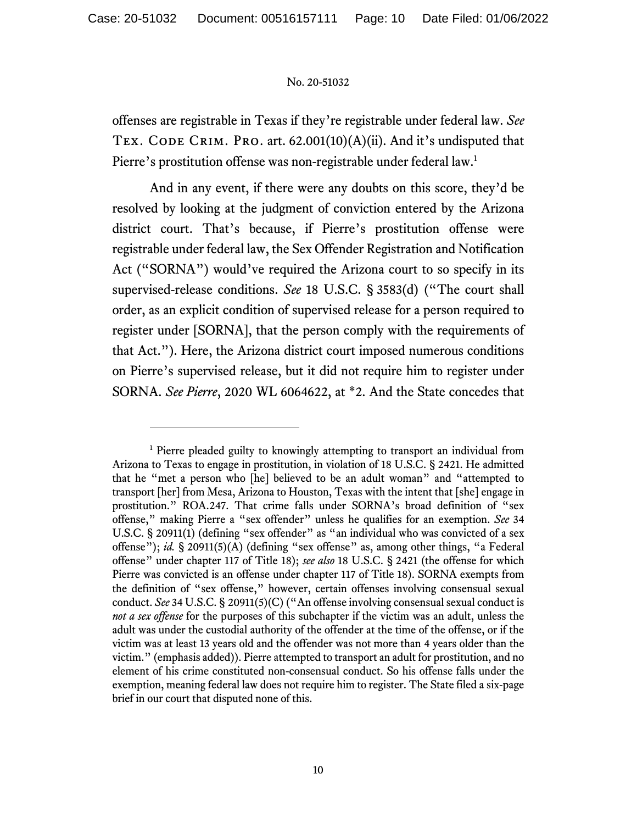offenses are registrable in Texas if they're registrable under federal law. *See*  TEX. CODE CRIM. PRO. art.  $62.001(10)(A)(ii)$ . And it's undisputed that Pierre's prostitution offense was non-registrable under federal law.<sup>1</sup>

And in any event, if there were any doubts on this score, they'd be resolved by looking at the judgment of conviction entered by the Arizona district court. That's because, if Pierre's prostitution offense were registrable under federal law, the Sex Offender Registration and Notification Act ("SORNA") would've required the Arizona court to so specify in its supervised-release conditions. *See* 18 U.S.C. § 3583(d) ("The court shall order, as an explicit condition of supervised release for a person required to register under [SORNA], that the person comply with the requirements of that Act."). Here, the Arizona district court imposed numerous conditions on Pierre's supervised release, but it did not require him to register under SORNA. *See Pierre*, 2020 WL 6064622, at \*2. And the State concedes that

<sup>&</sup>lt;sup>1</sup> Pierre pleaded guilty to knowingly attempting to transport an individual from Arizona to Texas to engage in prostitution, in violation of 18 U.S.C. § 2421. He admitted that he "met a person who [he] believed to be an adult woman" and "attempted to transport [her] from Mesa, Arizona to Houston, Texas with the intent that [she] engage in prostitution." ROA.247. That crime falls under SORNA's broad definition of "sex offense," making Pierre a "sex offender" unless he qualifies for an exemption. *See* 34 U.S.C. § 20911(1) (defining "sex offender" as "an individual who was convicted of a sex offense"); *id.* § 20911(5)(A) (defining "sex offense" as, among other things, "a Federal offense" under chapter 117 of Title 18); *see also* 18 U.S.C. § 2421 (the offense for which Pierre was convicted is an offense under chapter 117 of Title 18). SORNA exempts from the definition of "sex offense," however, certain offenses involving consensual sexual conduct. *See* 34 U.S.C. § 20911(5)(C) ("An offense involving consensual sexual conduct is *not a sex offense* for the purposes of this subchapter if the victim was an adult, unless the adult was under the custodial authority of the offender at the time of the offense, or if the victim was at least 13 years old and the offender was not more than 4 years older than the victim." (emphasis added)). Pierre attempted to transport an adult for prostitution, and no element of his crime constituted non-consensual conduct. So his offense falls under the exemption, meaning federal law does not require him to register. The State filed a six-page brief in our court that disputed none of this.